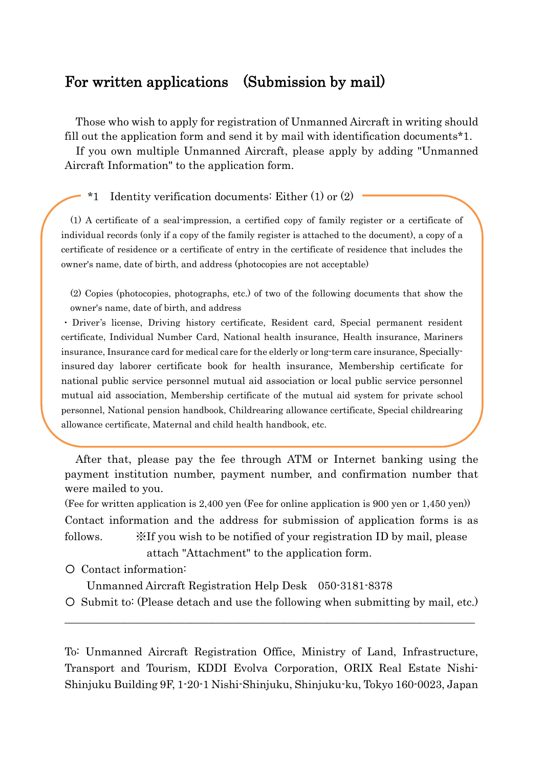## For written applications (Submission by mail)

Those who wish to apply for registration of Unmanned Aircraft in writing should fill out the application form and send it by mail with identification documents\*1.

If you own multiple Unmanned Aircraft, please apply by adding "Unmanned Aircraft Information" to the application form.

\*1 Identity verification documents: Either (1) or (2)

(1) A certificate of a seal-impression, a certified copy of family register or a certificate of individual records (only if a copy of the family register is attached to the document), a copy of a certificate of residence or a certificate of entry in the certificate of residence that includes the owner's name, date of birth, and address (photocopies are not acceptable)

(2) Copies (photocopies, photographs, etc.) of two of the following documents that show the owner's name, date of birth, and address

・ Driver's license, Driving history certificate, Resident card, Special permanent resident certificate, Individual Number Card, National health insurance, Health insurance, Mariners insurance, Insurance card for medical care for the elderly or long-term care insurance, Speciallyinsured day laborer certificate book for health insurance, Membership certificate for national public service personnel mutual aid association or local public service personnel mutual aid association, Membership certificate of the mutual aid system for private school personnel, National pension handbook, Childrearing allowance certificate, Special childrearing allowance certificate, Maternal and child health handbook, etc.

After that, please pay the fee through ATM or Internet banking using the payment institution number, payment number, and confirmation number that were mailed to you.

(Fee for written application is 2,400 yen (Fee for online application is 900 yen or 1,450 yen)) Contact information and the address for submission of application forms is as follows.  $\mathbb{X}$  If you wish to be notified of your registration ID by mail, please attach "Attachment" to the application form.

〇 Contact information:

Unmanned Aircraft Registration Help Desk 050-3181-8378

〇 Submit to: (Please detach and use the following when submitting by mail, etc.)  $\_$  , and the set of the set of the set of the set of the set of the set of the set of the set of the set of the set of the set of the set of the set of the set of the set of the set of the set of the set of the set of th

To: Unmanned Aircraft Registration Office, Ministry of Land, Infrastructure, Transport and Tourism, KDDI Evolva Corporation, ORIX Real Estate Nishi-Shinjuku Building 9F, 1-20-1 Nishi-Shinjuku, Shinjuku-ku, Tokyo 160-0023, Japan